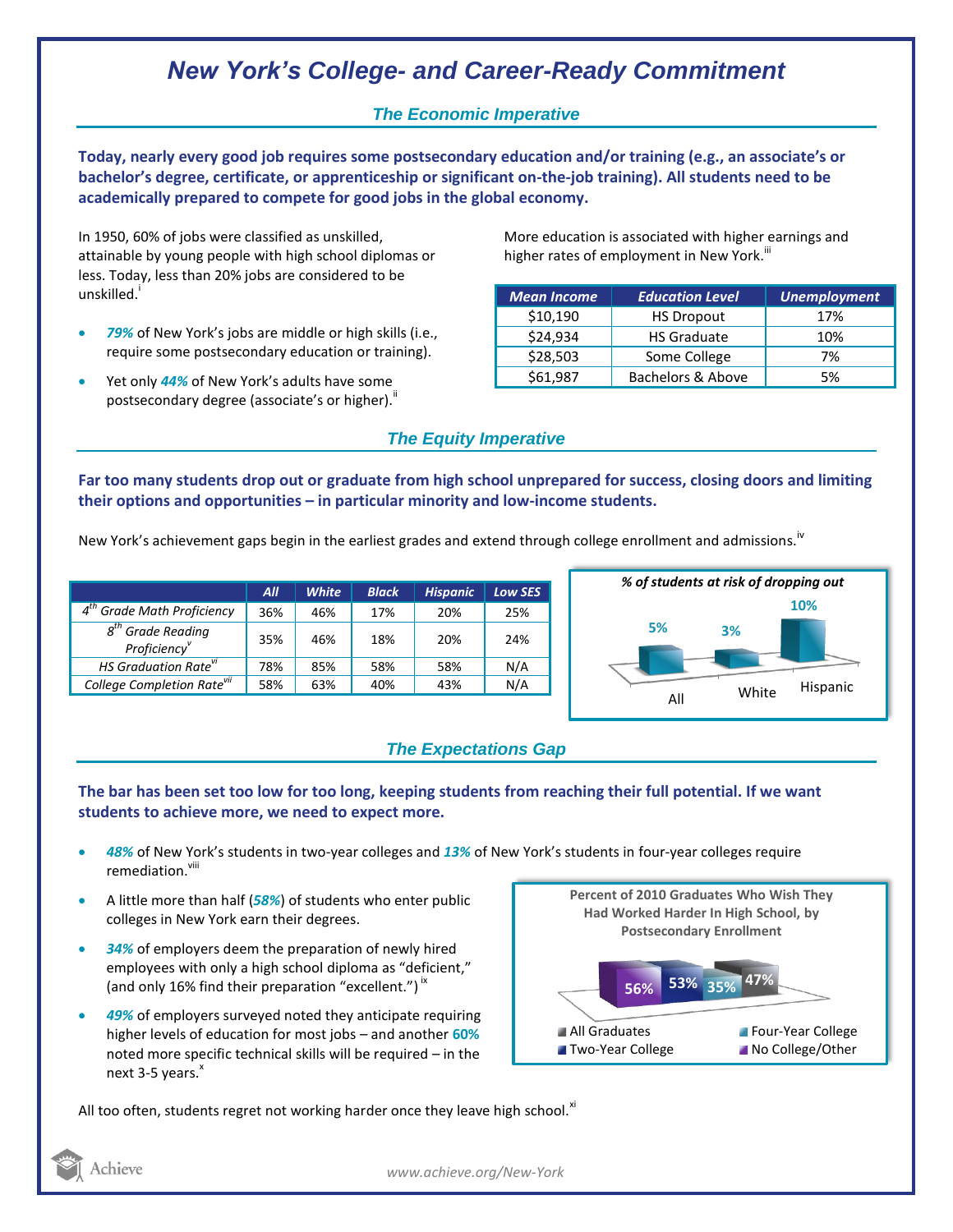## *New York's College- and Career-Ready Commitment*

## *The Economic Imperative*

**Today, nearly every good job requires some postsecondary education and/or training (e.g., an associate's or bachelor's degree, certificate, or apprenticeship or significant on-the-job training). All students need to be academically prepared to compete for good jobs in the global economy.**

In 1950, 60% of jobs were classified as unskilled, attainable by young people with high school diplomas or less. Today, less than 20% jobs are considered to be unskilled.<sup>i</sup>

- *79%* of New York's jobs are middle or high skills (i.e., require some postsecondary education or training).
- Yet only *44%* of New York's adults have some postsecondary degree (associate's or higher)."

More education is associated with higher earnings and higher rates of employment in New York.<sup>""</sup>

| <b>Mean Income</b> | <b>Education Level</b> | <b>Unemployment</b> |
|--------------------|------------------------|---------------------|
| \$10,190           | <b>HS Dropout</b>      | 17%                 |
| \$24,934           | <b>HS Graduate</b>     | 10%                 |
| \$28,503           | Some College           | 7%                  |
| \$61,987           | Bachelors & Above      | 5%                  |

## *The Equity Imperative*

**Far too many students drop out or graduate from high school unprepared for success, closing doors and limiting their options and opportunities – in particular minority and low-income students.** 

New York's achievement gaps begin in the earliest grades and extend through college enrollment and admissions.<sup>iv</sup>

|                                                 | All | <b>White</b> | <b>Black</b> | <b>Hispanic</b> | Low SES |
|-------------------------------------------------|-----|--------------|--------------|-----------------|---------|
| $4th$ Grade Math Proficiency                    | 36% | 46%          | 17%          | 20%             | 25%     |
| $8th$ Grade Reading<br>Proficiency <sup>v</sup> | 35% | 46%          | 18%          | 20%             | 24%     |
| HS Graduation Rate <sup>vi</sup>                | 78% | 85%          | 58%          | 58%             | N/A     |
| College Completion Rate <sup>vii</sup>          | 58% | 63%          | 40%          | 43%             | N/A     |



## *The Expectations Gap*

#### **The bar has been set too low for too long, keeping students from reaching their full potential. If we want students to achieve more, we need to expect more.**

- *48%* of New York's students in two-year colleges and *13%* of New York's students in four-year colleges require remediation.<sup>viii</sup>
- A little more than half (*58%*) of students who enter public colleges in New York earn their degrees.
- *34%* of employers deem the preparation of newly hired employees with only a high school diploma as "deficient," (and only 16% find their preparation "excellent.")<sup>ix</sup>
- *49%* of employers surveyed noted they anticipate requiring higher levels of education for most jobs – and another **60%** noted more specific technical skills will be required – in the next  $3-5$  years. $^x$



All too often, students regret not working harder once they leave high school. $^{xi}$ 

Achieve

*www.achieve.org/New-York*